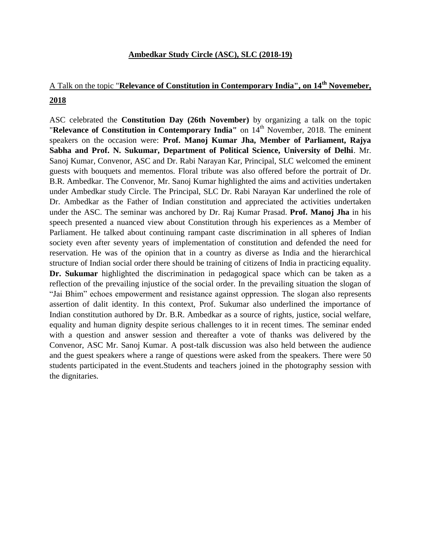## **Ambedkar Study Circle (ASC), SLC (2018-19)**

## A Talk on the topic "**Relevance of Constitution in Contemporary India", on 14th Novemeber, 2018**

ASC celebrated the **Constitution Day (26th November)** by organizing a talk on the topic **"Relevance of Constitution in Contemporary India"** on 14<sup>th</sup> November, 2018. The eminent speakers on the occasion were: **Prof. Manoj Kumar Jha, Member of Parliament, Rajya Sabha and Prof. N. Sukumar, Department of Political Science, University of Delhi**. Mr. Sanoj Kumar, Convenor, ASC and Dr. Rabi Narayan Kar, Principal, SLC welcomed the eminent guests with bouquets and mementos. Floral tribute was also offered before the portrait of Dr. B.R. Ambedkar. The Convenor, Mr. Sanoj Kumar highlighted the aims and activities undertaken under Ambedkar study Circle. The Principal, SLC Dr. Rabi Narayan Kar underlined the role of Dr. Ambedkar as the Father of Indian constitution and appreciated the activities undertaken under the ASC. The seminar was anchored by Dr. Raj Kumar Prasad. **Prof. Manoj Jha** in his speech presented a nuanced view about Constitution through his experiences as a Member of Parliament. He talked about continuing rampant caste discrimination in all spheres of Indian society even after seventy years of implementation of constitution and defended the need for reservation. He was of the opinion that in a country as diverse as India and the hierarchical structure of Indian social order there should be training of citizens of India in practicing equality. **Dr. Sukumar** highlighted the discrimination in pedagogical space which can be taken as a reflection of the prevailing injustice of the social order. In the prevailing situation the slogan of "Jai Bhim" echoes empowerment and resistance against oppression. The slogan also represents assertion of dalit identity. In this context, Prof. Sukumar also underlined the importance of Indian constitution authored by Dr. B.R. Ambedkar as a source of rights, justice, social welfare, equality and human dignity despite serious challenges to it in recent times. The seminar ended with a question and answer session and thereafter a vote of thanks was delivered by the Convenor, ASC Mr. Sanoj Kumar. A post-talk discussion was also held between the audience and the guest speakers where a range of questions were asked from the speakers. There were 50 students participated in the event.Students and teachers joined in the photography session with the dignitaries.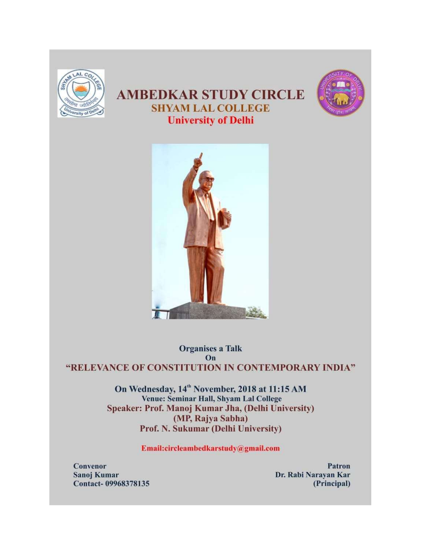





**University of Delhi** 

## **Organises a Talk**  $On$ "RELEVANCE OF CONSTITUTION IN CONTEMPORARY INDIA"

On Wednesday, 14<sup>th</sup> November, 2018 at 11:15 AM Venue: Seminar Hall, Shyam Lal College Speaker: Prof. Manoj Kumar Jha, (Delhi University) (MP, Rajya Sabha) Prof. N. Sukumar (Delhi University)

Email:circleambedkarstudy@gmail.com

Convenor Sanoj Kumar Contact-09968378135

Patron Dr. Rabi Narayan Kar (Principal)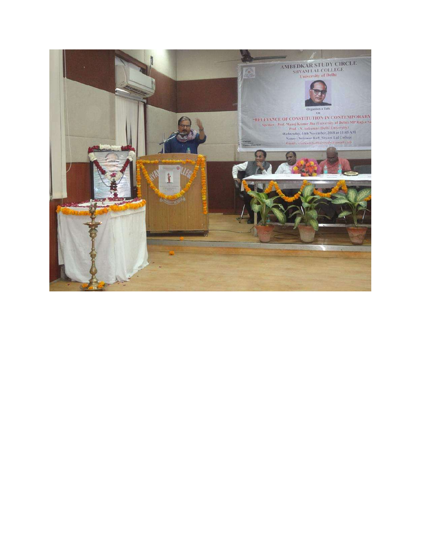